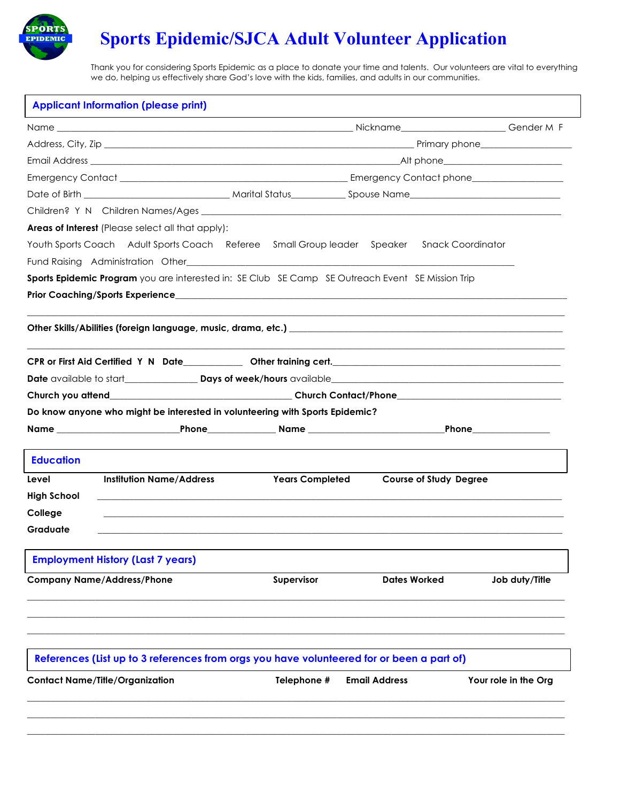

# **Sports Epidemic/SJCA Adult Volunteer Application**

Thank you for considering Sports Epidemic as a place to donate your time and talents. Our volunteers are vital to everything we do, helping us effectively share God's love with the kids, families, and adults in our communities.

| <b>Areas of Interest</b> (Please select all that apply):<br>Youth Sports Coach Adult Sports Coach Referee Small Group leader Speaker Snack Coordinator<br>Sports Epidemic Program you are interested in: SE Club SE Camp SE Outreach Event SE Mission Trip |                      |                               |                      |
|------------------------------------------------------------------------------------------------------------------------------------------------------------------------------------------------------------------------------------------------------------|----------------------|-------------------------------|----------------------|
|                                                                                                                                                                                                                                                            |                      |                               |                      |
|                                                                                                                                                                                                                                                            |                      |                               |                      |
|                                                                                                                                                                                                                                                            |                      |                               |                      |
|                                                                                                                                                                                                                                                            |                      |                               |                      |
|                                                                                                                                                                                                                                                            |                      |                               |                      |
|                                                                                                                                                                                                                                                            |                      |                               |                      |
|                                                                                                                                                                                                                                                            |                      |                               |                      |
|                                                                                                                                                                                                                                                            |                      |                               |                      |
|                                                                                                                                                                                                                                                            |                      |                               |                      |
|                                                                                                                                                                                                                                                            |                      |                               |                      |
|                                                                                                                                                                                                                                                            |                      |                               |                      |
|                                                                                                                                                                                                                                                            |                      |                               |                      |
|                                                                                                                                                                                                                                                            |                      |                               |                      |
|                                                                                                                                                                                                                                                            |                      |                               |                      |
|                                                                                                                                                                                                                                                            |                      |                               |                      |
| Do know anyone who might be interested in volunteering with Sports Epidemic?                                                                                                                                                                               |                      |                               |                      |
|                                                                                                                                                                                                                                                            |                      |                               |                      |
| <b>Education</b>                                                                                                                                                                                                                                           |                      |                               |                      |
| <b>Institution Name/Address</b><br><b>Years Completed</b><br>Level                                                                                                                                                                                         |                      | <b>Course of Study Degree</b> |                      |
| <b>High School</b>                                                                                                                                                                                                                                         |                      |                               |                      |
| College                                                                                                                                                                                                                                                    |                      |                               |                      |
| Graduate                                                                                                                                                                                                                                                   |                      |                               |                      |
| <b>Employment History (Last 7 years)</b>                                                                                                                                                                                                                   |                      |                               |                      |
| <b>Company Name/Address/Phone</b><br>Supervisor                                                                                                                                                                                                            |                      | <b>Dates Worked</b>           | Job duty/Title       |
|                                                                                                                                                                                                                                                            |                      |                               |                      |
| References (List up to 3 references from orgs you have volunteered for or been a part of)                                                                                                                                                                  |                      |                               |                      |
| <b>Contact Name/Title/Organization</b><br>Telephone #                                                                                                                                                                                                      | <b>Email Address</b> |                               | Your role in the Org |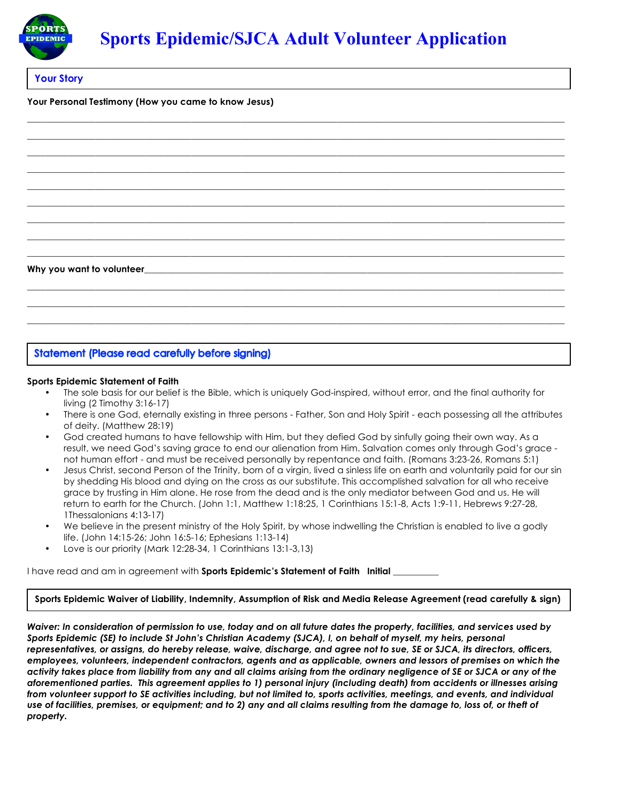

**\_\_\_\_\_\_\_\_\_\_\_\_\_\_\_\_\_\_\_\_\_\_\_\_\_\_\_\_\_\_\_\_\_\_\_\_\_\_\_\_\_\_\_\_\_\_\_\_\_\_\_\_\_\_\_\_\_\_\_\_\_\_\_\_\_\_\_\_\_\_\_\_\_\_\_\_\_\_\_\_\_\_\_\_\_\_\_\_\_\_\_\_\_\_\_\_\_\_\_\_\_\_\_\_\_\_\_\_\_\_\_\_\_\_\_\_\_\_ \_\_\_\_\_\_\_\_\_\_\_\_\_\_\_\_\_\_\_\_\_\_\_\_\_\_\_\_\_\_\_\_\_\_\_\_\_\_\_\_\_\_\_\_\_\_\_\_\_\_\_\_\_\_\_\_\_\_\_\_\_\_\_\_\_\_\_\_\_\_\_\_\_\_\_\_\_\_\_\_\_\_\_\_\_\_\_\_\_\_\_\_\_\_\_\_\_\_\_\_\_\_\_\_\_\_\_\_\_\_\_\_\_\_\_\_\_\_ \_\_\_\_\_\_\_\_\_\_\_\_\_\_\_\_\_\_\_\_\_\_\_\_\_\_\_\_\_\_\_\_\_\_\_\_\_\_\_\_\_\_\_\_\_\_\_\_\_\_\_\_\_\_\_\_\_\_\_\_\_\_\_\_\_\_\_\_\_\_\_\_\_\_\_\_\_\_\_\_\_\_\_\_\_\_\_\_\_\_\_\_\_\_\_\_\_\_\_\_\_\_\_\_\_\_\_\_\_\_\_\_\_\_\_\_\_\_ \_\_\_\_\_\_\_\_\_\_\_\_\_\_\_\_\_\_\_\_\_\_\_\_\_\_\_\_\_\_\_\_\_\_\_\_\_\_\_\_\_\_\_\_\_\_\_\_\_\_\_\_\_\_\_\_\_\_\_\_\_\_\_\_\_\_\_\_\_\_\_\_\_\_\_\_\_\_\_\_\_\_\_\_\_\_\_\_\_\_\_\_\_\_\_\_\_\_\_\_\_\_\_\_\_\_\_\_\_\_\_\_\_\_\_\_\_\_ \_\_\_\_\_\_\_\_\_\_\_\_\_\_\_\_\_\_\_\_\_\_\_\_\_\_\_\_\_\_\_\_\_\_\_\_\_\_\_\_\_\_\_\_\_\_\_\_\_\_\_\_\_\_\_\_\_\_\_\_\_\_\_\_\_\_\_\_\_\_\_\_\_\_\_\_\_\_\_\_\_\_\_\_\_\_\_\_\_\_\_\_\_\_\_\_\_\_\_\_\_\_\_\_\_\_\_\_\_\_\_\_\_\_\_\_\_\_ \_\_\_\_\_\_\_\_\_\_\_\_\_\_\_\_\_\_\_\_\_\_\_\_\_\_\_\_\_\_\_\_\_\_\_\_\_\_\_\_\_\_\_\_\_\_\_\_\_\_\_\_\_\_\_\_\_\_\_\_\_\_\_\_\_\_\_\_\_\_\_\_\_\_\_\_\_\_\_\_\_\_\_\_\_\_\_\_\_\_\_\_\_\_\_\_\_\_\_\_\_\_\_\_\_\_\_\_\_\_\_\_\_\_\_\_\_\_ \_\_\_\_\_\_\_\_\_\_\_\_\_\_\_\_\_\_\_\_\_\_\_\_\_\_\_\_\_\_\_\_\_\_\_\_\_\_\_\_\_\_\_\_\_\_\_\_\_\_\_\_\_\_\_\_\_\_\_\_\_\_\_\_\_\_\_\_\_\_\_\_\_\_\_\_\_\_\_\_\_\_\_\_\_\_\_\_\_\_\_\_\_\_\_\_\_\_\_\_\_\_\_\_\_\_\_\_\_\_\_\_\_\_\_\_\_\_ \_\_\_\_\_\_\_\_\_\_\_\_\_\_\_\_\_\_\_\_\_\_\_\_\_\_\_\_\_\_\_\_\_\_\_\_\_\_\_\_\_\_\_\_\_\_\_\_\_\_\_\_\_\_\_\_\_\_\_\_\_\_\_\_\_\_\_\_\_\_\_\_\_\_\_\_\_\_\_\_\_\_\_\_\_\_\_\_\_\_\_\_\_\_\_\_\_\_\_\_\_\_\_\_\_\_\_\_\_\_\_\_\_\_\_\_\_\_ \_\_\_\_\_\_\_\_\_\_\_\_\_\_\_\_\_\_\_\_\_\_\_\_\_\_\_\_\_\_\_\_\_\_\_\_\_\_\_\_\_\_\_\_\_\_\_\_\_\_\_\_\_\_\_\_\_\_\_\_\_\_\_\_\_\_\_\_\_\_\_\_\_\_\_\_\_\_\_\_\_\_\_\_\_\_\_\_\_\_\_\_\_\_\_\_\_\_\_\_\_\_\_\_\_\_\_\_\_\_\_\_\_\_\_\_\_\_**

### **Your Story**

#### **Your Personal Testimony (How you came to know Jesus)**

#### Why you want to volunteer

### **Statement (Please read carefully before signing)**

#### **Sports Epidemic Statement of Faith**

• The sole basis for our belief is the Bible, which is uniquely God-inspired, without error, and the final authority for living (2 Timothy 3:16-17)

**\_\_\_\_\_\_\_\_\_\_\_\_\_\_\_\_\_\_\_\_\_\_\_\_\_\_\_\_\_\_\_\_\_\_\_\_\_\_\_\_\_\_\_\_\_\_\_\_\_\_\_\_\_\_\_\_\_\_\_\_\_\_\_\_\_\_\_\_\_\_\_\_\_\_\_\_\_\_\_\_\_\_\_\_\_\_\_\_\_\_\_\_\_\_\_\_\_\_\_\_\_\_\_\_\_\_\_\_\_\_\_\_\_\_\_\_\_\_ \_\_\_\_\_\_\_\_\_\_\_\_\_\_\_\_\_\_\_\_\_\_\_\_\_\_\_\_\_\_\_\_\_\_\_\_\_\_\_\_\_\_\_\_\_\_\_\_\_\_\_\_\_\_\_\_\_\_\_\_\_\_\_\_\_\_\_\_\_\_\_\_\_\_\_\_\_\_\_\_\_\_\_\_\_\_\_\_\_\_\_\_\_\_\_\_\_\_\_\_\_\_\_\_\_\_\_\_\_\_\_\_\_\_\_\_\_\_ \_\_\_\_\_\_\_\_\_\_\_\_\_\_\_\_\_\_\_\_\_\_\_\_\_\_\_\_\_\_\_\_\_\_\_\_\_\_\_\_\_\_\_\_\_\_\_\_\_\_\_\_\_\_\_\_\_\_\_\_\_\_\_\_\_\_\_\_\_\_\_\_\_\_\_\_\_\_\_\_\_\_\_\_\_\_\_\_\_\_\_\_\_\_\_\_\_\_\_\_\_\_\_\_\_\_\_\_\_\_\_\_\_\_\_\_\_\_**

- There is one God, eternally existing in three persons Father, Son and Holy Spirit each possessing all the attributes of deity. (Matthew 28:19)
- God created humans to have fellowship with Him, but they defied God by sinfully going their own way. As a result, we need God's saving grace to end our alienation from Him. Salvation comes only through God's grace not human effort - and must be received personally by repentance and faith. (Romans 3:23-26, Romans 5:1)
- Jesus Christ, second Person of the Trinity, born of a virgin, lived a sinless life on earth and voluntarily paid for our sin by shedding His blood and dying on the cross as our substitute. This accomplished salvation for all who receive grace by trusting in Him alone. He rose from the dead and is the only mediator between God and us. He will return to earth for the Church. (John 1:1, Matthew 1:18:25, 1 Corinthians 15:1-8, Acts 1:9-11, Hebrews 9:27-28, 1Thessalonians 4:13-17)
- We believe in the present ministry of the Holy Spirit, by whose indwelling the Christian is enabled to live a godly life. (John 14:15-26; John 16:5-16; Ephesians 1:13-14)
- Love is our priority (Mark 12:28-34, 1 Corinthians 13:1-3,13)

I have read and am in agreement with **Sports Epidemic's Statement of Faith Initial \_**\_\_\_\_\_\_\_\_\_

#### **Sports Epidemic Waiver of Liability, Indemnity, Assumption of Risk and Media Release Agreement (read carefully & sign)**

*Waiver: In consideration of permission to use, today and on all future dates the property, facilities, and services used by Sports Epidemic (SE) to include St John's Christian Academy (SJCA), I, on behalf of myself, my heirs, personal representatives, or assigns, do hereby release, waive, discharge, and agree not to sue, SE or SJCA, its directors, officers, employees, volunteers, independent contractors, agents and as applicable, owners and lessors of premises on which the activity takes place from liability from any and all claims arising from the ordinary negligence of SE or SJCA or any of the aforementioned parties. This agreement applies to 1) personal injury (including death) from accidents or illnesses arising from volunteer support to SE activities including, but not limited to, sports activities, meetings, and events, and individual use of facilities, premises, or equipment; and to 2) any and all claims resulting from the damage to, loss of, or theft of property.*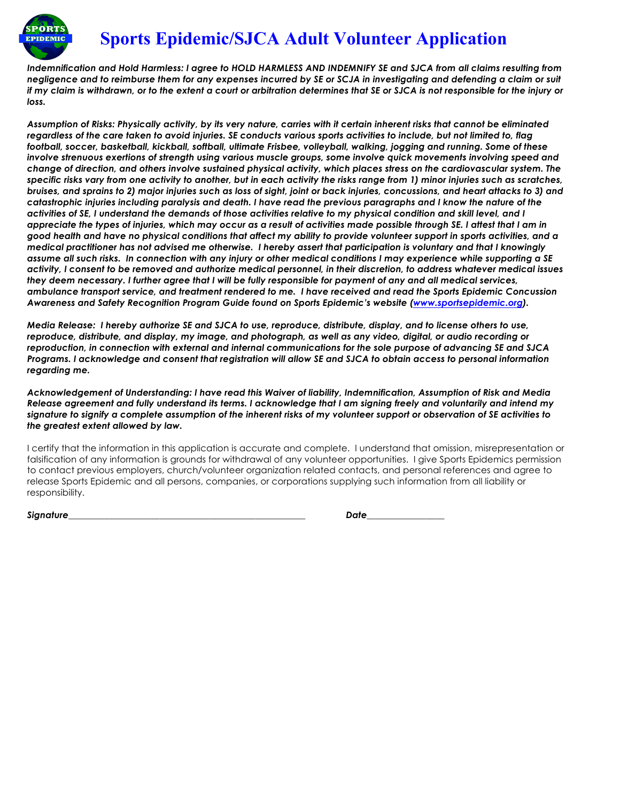

## **Sports Epidemic/SJCA Adult Volunteer Application**

*Indemnification and Hold Harmless: I agree to HOLD HARMLESS AND INDEMNIFY SE and SJCA from all claims resulting from negligence and to reimburse them for any expenses incurred by SE or SCJA in investigating and defending a claim or suit if my claim is withdrawn, or to the extent a court or arbitration determines that SE or SJCA is not responsible for the injury or loss.*

*Assumption of Risks: Physically activity, by its very nature, carries with it certain inherent risks that cannot be eliminated regardless of the care taken to avoid injuries. SE conducts various sports activities to include, but not limited to, flag football, soccer, basketball, kickball, softball, ultimate Frisbee, volleyball, walking, jogging and running. Some of these involve strenuous exertions of strength using various muscle groups, some involve quick movements involving speed and change of direction, and others involve sustained physical activity, which places stress on the cardiovascular system. The specific risks vary from one activity to another, but in each activity the risks range from 1) minor injuries such as scratches, bruises, and sprains to 2) major injuries such as loss of sight, joint or back injuries, concussions, and heart attacks to 3) and catastrophic injuries including paralysis and death. I have read the previous paragraphs and I know the nature of the activities of SE, I understand the demands of those activities relative to my physical condition and skill level, and I appreciate the types of injuries, which may occur as a result of activities made possible through SE. I attest that I am in good health and have no physical conditions that affect my ability to provide volunteer support in sports activities, and a medical practitioner has not advised me otherwise. I hereby assert that participation is voluntary and that I knowingly assume all such risks. In connection with any injury or other medical conditions I may experience while supporting a SE activity, I consent to be removed and authorize medical personnel, in their discretion, to address whatever medical issues they deem necessary. I further agree that I will be fully responsible for payment of any and all medical services, ambulance transport service, and treatment rendered to me. I have received and read the Sports Epidemic Concussion Awareness and Safety Recognition Program Guide found on Sports Epidemic's website (www.sportsepidemic.org).* 

*Media Release: I hereby authorize SE and SJCA to use, reproduce, distribute, display, and to license others to use, reproduce, distribute, and display, my image, and photograph, as well as any video, digital, or audio recording or reproduction, in connection with external and internal communications for the sole purpose of advancing SE and SJCA Programs. I acknowledge and consent that registration will allow SE and SJCA to obtain access to personal information regarding me.* 

*Acknowledgement of Understanding: I have read this Waiver of liability, Indemnification, Assumption of Risk and Media Release agreement and fully understand its terms. I acknowledge that I am signing freely and voluntarily and intend my signature to signify a complete assumption of the inherent risks of my volunteer support or observation of SE activities to the greatest extent allowed by law.*

I certify that the information in this application is accurate and complete. I understand that omission, misrepresentation or falsification of any information is grounds for withdrawal of any volunteer opportunities. I give Sports Epidemics permission to contact previous employers, church/volunteer organization related contacts, and personal references and agree to release Sports Epidemic and all persons, companies, or corporations supplying such information from all liability or responsibility.

*Signature\_\_\_\_\_\_\_\_\_\_\_\_\_\_\_\_\_\_\_\_\_\_\_\_\_\_\_\_\_\_\_\_\_\_\_\_\_\_\_\_\_\_\_\_\_\_\_\_\_\_\_\_ Date\_\_\_\_\_\_\_\_\_\_\_\_\_\_\_\_\_*